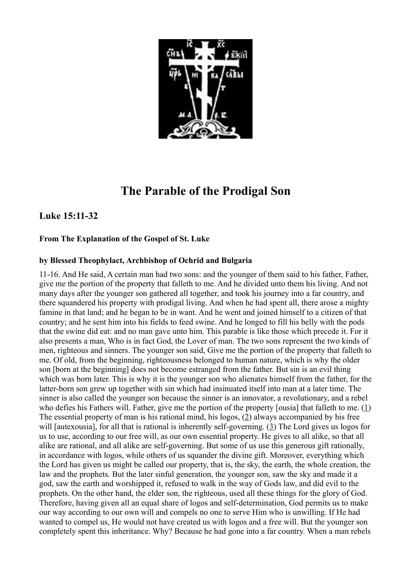

## **The Parable of the Prodigal Son**

## **Luke 15:11-32**

## **From The Explanation of the Gospel of St. Luke**

## **by Blessed Theophylact, Archbishop of Ochrid and Bulgaria**

11-16. And He said, A certain man had two sons: and the younger of them said to his father, Father, give me the portion of the property that falleth to me. And he divided unto them his living. And not many days after the younger son gathered all together, and took his journey into a far country, and there squandered his property with prodigal living. And when he had spent all, there arose a mighty famine in that land; and he began to be in want. And he went and joined himself to a citizen of that country; and he sent him into his fields to feed swine. And he longed to fill his belly with the pods that the swine did eat: and no man gave unto him. This parable is like those which precede it. For it also presents a man, Who is in fact God, the Lover of man. The two sons represent the two kinds of men, righteous and sinners. The younger son said, Give me the portion of the property that falleth to me. Of old, from the beginning, righteousness belonged to human nature, which is why the older son [born at the beginning] does not become estranged from the father. But sin is an evil thing which was born later. This is why it is the younger son who alienates himself from the father, for the latter-born son grew up together with sin which had insinuated itself into man at a later time. The sinner is also called the younger son because the sinner is an innovator, a revolutionary, and a rebel who defies his Fathers will. Father, give me the portion of the property [ousia] that falleth to me.  $(1)$ The essential property of man is his rational mind, his logos, [\(2\)](http://www.chrysostompress.org/gospel-commentary-pentecost34#n_2_) always accompanied by his free will [autexousia], for all that is rational is inherently self-governing. [\(3\)](http://www.chrysostompress.org/gospel-commentary-pentecost34#n_3_) The Lord gives us logos for us to use, according to our free will, as our own essential property. He gives to all alike, so that all alike are rational, and all alike are self-governing. But some of us use this generous gift rationally, in accordance with logos, while others of us squander the divine gift. Moreover, everything which the Lord has given us might be called our property, that is, the sky, the earth, the whole creation, the law and the prophets. But the later sinful generation, the younger son, saw the sky and made it a god, saw the earth and worshipped it, refused to walk in the way of Gods law, and did evil to the prophets. On the other hand, the elder son, the righteous, used all these things for the glory of God. Therefore, having given all an equal share of logos and self-determination, God permits us to make our way according to our own will and compels no one to serve Him who is unwilling. If He had wanted to compel us, He would not have created us with logos and a free will. But the younger son completely spent this inheritance. Why? Because he had gone into a far country. When a man rebels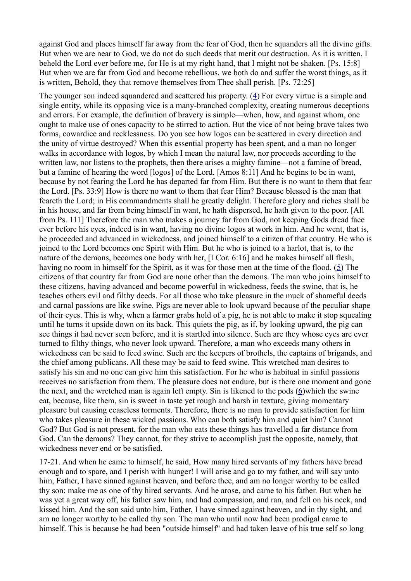against God and places himself far away from the fear of God, then he squanders all the divine gifts. But when we are near to God, we do not do such deeds that merit our destruction. As it is written, I beheld the Lord ever before me, for He is at my right hand, that I might not be shaken. [Ps. 15:8] But when we are far from God and become rebellious, we both do and suffer the worst things, as it is written, Behold, they that remove themselves from Thee shall perish. [Ps. 72:25]

The younger son indeed squandered and scattered his property. [\(4\)](http://www.chrysostompress.org/gospel-commentary-pentecost34#n_4_) For every virtue is a simple and single entity, while its opposing vice is a many-branched complexity, creating numerous deceptions and errors. For example, the definition of bravery is simple—when, how, and against whom, one ought to make use of ones capacity to be stirred to action. But the vice of not being brave takes two forms, cowardice and recklessness. Do you see how logos can be scattered in every direction and the unity of virtue destroyed? When this essential property has been spent, and a man no longer walks in accordance with logos, by which I mean the natural law, nor proceeds according to the written law, nor listens to the prophets, then there arises a mighty famine—not a famine of bread, but a famine of hearing the word [logos] of the Lord. [Amos 8:11] And he begins to be in want, because by not fearing the Lord he has departed far from Him. But there is no want to them that fear the Lord. [Ps. 33:9] How is there no want to them that fear Him? Because blessed is the man that feareth the Lord; in His commandments shall he greatly delight. Therefore glory and riches shall be in his house, and far from being himself in want, he hath dispersed, he hath given to the poor. [All from Ps. 111] Therefore the man who makes a journey far from God, not keeping Gods dread face ever before his eyes, indeed is in want, having no divine logos at work in him. And he went, that is, he proceeded and advanced in wickedness, and joined himself to a citizen of that country. He who is joined to the Lord becomes one Spirit with Him. But he who is joined to a harlot, that is, to the nature of the demons, becomes one body with her, [I Cor. 6:16] and he makes himself all flesh, having no room in himself for the Spirit, as it was for those men at the time of the flood. [\(5\)](http://www.chrysostompress.org/gospel-commentary-pentecost34#n_5_) The citizens of that country far from God are none other than the demons. The man who joins himself to these citizens, having advanced and become powerful in wickedness, feeds the swine, that is, he teaches others evil and filthy deeds. For all those who take pleasure in the muck of shameful deeds and carnal passions are like swine. Pigs are never able to look upward because of the peculiar shape of their eyes. This is why, when a farmer grabs hold of a pig, he is not able to make it stop squealing until he turns it upside down on its back. This quiets the pig, as if, by looking upward, the pig can see things it had never seen before, and it is startled into silence. Such are they whose eyes are ever turned to filthy things, who never look upward. Therefore, a man who exceeds many others in wickedness can be said to feed swine. Such are the keepers of brothels, the captains of brigands, and the chief among publicans. All these may be said to feed swine. This wretched man desires to satisfy his sin and no one can give him this satisfaction. For he who is habitual in sinful passions receives no satisfaction from them. The pleasure does not endure, but is there one moment and gone the next, and the wretched man is again left empty. Sin is likened to the pods [\(6\)](http://www.chrysostompress.org/gospel-commentary-pentecost34#n_6_)which the swine eat, because, like them, sin is sweet in taste yet rough and harsh in texture, giving momentary pleasure but causing ceaseless torments. Therefore, there is no man to provide satisfaction for him who takes pleasure in these wicked passions. Who can both satisfy him and quiet him? Cannot God? But God is not present, for the man who eats these things has travelled a far distance from God. Can the demons? They cannot, for they strive to accomplish just the opposite, namely, that wickedness never end or be satisfied.

17-21. And when he came to himself, he said, How many hired servants of my fathers have bread enough and to spare, and I perish with hunger! I will arise and go to my father, and will say unto him, Father, I have sinned against heaven, and before thee, and am no longer worthy to be called thy son: make me as one of thy hired servants. And he arose, and came to his father. But when he was yet a great way off, his father saw him, and had compassion, and ran, and fell on his neck, and kissed him. And the son said unto him, Father, I have sinned against heaven, and in thy sight, and am no longer worthy to be called thy son. The man who until now had been prodigal came to himself. This is because he had been "outside himself" and had taken leave of his true self so long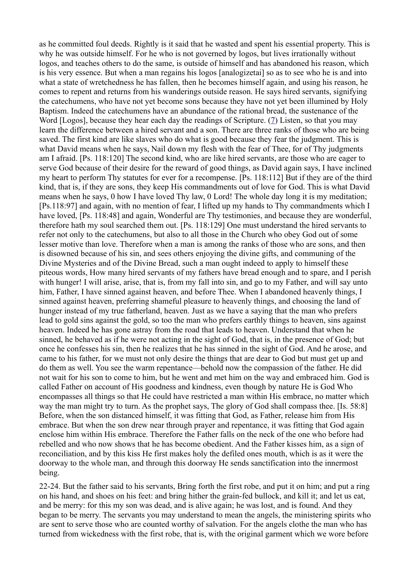as he committed foul deeds. Rightly is it said that he wasted and spent his essential property. This is why he was outside himself. For he who is not governed by logos, but lives irrationally without logos, and teaches others to do the same, is outside of himself and has abandoned his reason, which is his very essence. But when a man regains his logos [analogizetai] so as to see who he is and into what a state of wretchedness he has fallen, then he becomes himself again, and using his reason, he comes to repent and returns from his wanderings outside reason. He says hired servants, signifying the catechumens, who have not yet become sons because they have not yet been illumined by Holy Baptism. Indeed the catechumens have an abundance of the rational bread, the sustenance of the Word [Logos], because they hear each day the readings of Scripture. [\(7\)](http://www.chrysostompress.org/gospel-commentary-pentecost34#n_7_) Listen, so that you may learn the difference between a hired servant and a son. There are three ranks of those who are being saved. The first kind are like slaves who do what is good because they fear the judgment. This is what David means when he says. Nail down my flesh with the fear of Thee, for of Thy judgments am I afraid. [Ps. 118:120] The second kind, who are like hired servants, are those who are eager to serve God because of their desire for the reward of good things, as David again says, I have inclined my heart to perform Thy statutes for ever for a recompense. [Ps. 118:112] But if they are of the third kind, that is, if they are sons, they keep His commandments out of love for God. This is what David means when he says, 0 how I have loved Thy law, 0 Lord! The whole day long it is my meditation; [Ps.118:97] and again, with no mention of fear, I lifted up my hands to Thy commandments which I have loved, [Ps. 118:48] and again, Wonderful are Thy testimonies, and because they are wonderful, therefore hath my soul searched them out. [Ps. 118:129] One must understand the hired servants to refer not only to the catechumens, but also to all those in the Church who obey God out of some lesser motive than love. Therefore when a man is among the ranks of those who are sons, and then is disowned because of his sin, and sees others enjoying the divine gifts, and communing of the Divine Mysteries and of the Divine Bread, such a man ought indeed to apply to himself these piteous words, How many hired servants of my fathers have bread enough and to spare, and I perish with hunger! I will arise, arise, that is, from my fall into sin, and go to my Father, and will say unto him, Father, I have sinned against heaven, and before Thee. When I abandoned heavenly things, I sinned against heaven, preferring shameful pleasure to heavenly things, and choosing the land of hunger instead of my true fatherland, heaven. Just as we have a saying that the man who prefers lead to gold sins against the gold, so too the man who prefers earthly things to heaven, sins against heaven. Indeed he has gone astray from the road that leads to heaven. Understand that when he sinned, he behaved as if he were not acting in the sight of God, that is, in the presence of God; but once he confesses his sin, then he realizes that he has sinned in the sight of God. And he arose, and came to his father, for we must not only desire the things that are dear to God but must get up and do them as well. You see the warm repentance—behold now the compassion of the father. He did not wait for his son to come to him, but he went and met him on the way and embraced him. God is called Father on account of His goodness and kindness, even though by nature He is God Who encompasses all things so that He could have restricted a man within His embrace, no matter which way the man might try to turn. As the prophet says, The glory of God shall compass thee. [Is. 58:8] Before, when the son distanced himself, it was fitting that God, as Father, release him from His embrace. But when the son drew near through prayer and repentance, it was fitting that God again enclose him within His embrace. Therefore the Father falls on the neck of the one who before had rebelled and who now shows that he has become obedient. And the Father kisses him, as a sign of reconciliation, and by this kiss He first makes holy the defiled ones mouth, which is as it were the doorway to the whole man, and through this doorway He sends sanctification into the innermost being.

22-24. But the father said to his servants, Bring forth the first robe, and put it on him; and put a ring on his hand, and shoes on his feet: and bring hither the grain-fed bullock, and kill it; and let us eat, and be merry: for this my son was dead, and is alive again; he was lost, and is found. And they began to be merry. The servants you may understand to mean the angels, the ministering spirits who are sent to serve those who are counted worthy of salvation. For the angels clothe the man who has turned from wickedness with the first robe, that is, with the original garment which we wore before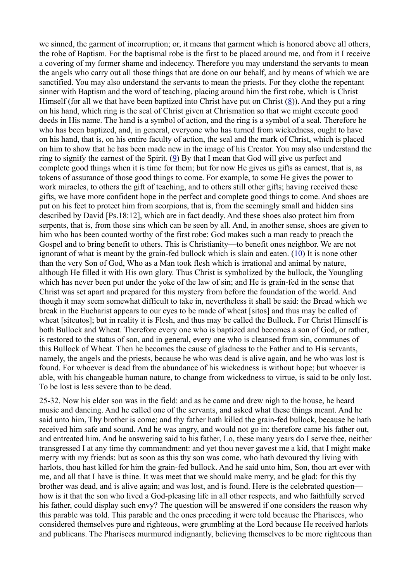we sinned, the garment of incorruption; or, it means that garment which is honored above all others, the robe of Baptism. For the baptismal robe is the first to be placed around me, and from it I receive a covering of my former shame and indecency. Therefore you may understand the servants to mean the angels who carry out all those things that are done on our behalf, and by means of which we are sanctified. You may also understand the servants to mean the priests. For they clothe the repentant sinner with Baptism and the word of teaching, placing around him the first robe, which is Christ Himself (for all we that have been baptized into Christ have put on Christ  $(8)$ ). And they put a ring on his hand, which ring is the seal of Christ given at Chrismation so that we might execute good deeds in His name. The hand is a symbol of action, and the ring is a symbol of a seal. Therefore he who has been baptized, and, in general, everyone who has turned from wickedness, ought to have on his hand, that is, on his entire faculty of action, the seal and the mark of Christ, which is placed on him to show that he has been made new in the image of his Creator. You may also understand the ring to signify the earnest of the Spirit. [\(9\)](http://www.chrysostompress.org/gospel-commentary-pentecost34#n_9_) By that I mean that God will give us perfect and complete good things when it is time for them; but for now He gives us gifts as earnest, that is, as tokens of assurance of those good things to come. For example, to some He gives the power to work miracles, to others the gift of teaching, and to others still other gifts; having received these gifts, we have more confident hope in the perfect and complete good things to come. And shoes are put on his feet to protect him from scorpions, that is, from the seemingly small and hidden sins described by David [Ps.18:12], which are in fact deadly. And these shoes also protect him from serpents, that is, from those sins which can be seen by all. And, in another sense, shoes are given to him who has been counted worthy of the first robe: God makes such a man ready to preach the Gospel and to bring benefit to others. This is Christianity—to benefit ones neighbor. We are not ignorant of what is meant by the grain-fed bullock which is slain and eaten. [\(10\)](http://www.chrysostompress.org/gospel-commentary-pentecost34#n_10_) It is none other than the very Son of God, Who as a Man took flesh which is irrational and animal by nature, although He filled it with His own glory. Thus Christ is symbolized by the bullock, the Youngling which has never been put under the yoke of the law of sin; and He is grain-fed in the sense that Christ was set apart and prepared for this mystery from before the foundation of the world. And though it may seem somewhat difficult to take in, nevertheless it shall be said: the Bread which we break in the Eucharist appears to our eyes to be made of wheat [sitos] and thus may be called of wheat [siteutos]; but in reality it is Flesh, and thus may be called the Bullock. For Christ Himself is both Bullock and Wheat. Therefore every one who is baptized and becomes a son of God, or rather, is restored to the status of son, and in general, every one who is cleansed from sin, communes of this Bullock of Wheat. Then he becomes the cause of gladness to the Father and to His servants, namely, the angels and the priests, because he who was dead is alive again, and he who was lost is found. For whoever is dead from the abundance of his wickedness is without hope; but whoever is able, with his changeable human nature, to change from wickedness to virtue, is said to be only lost. To be lost is less severe than to be dead.

25-32. Now his elder son was in the field: and as he came and drew nigh to the house, he heard music and dancing. And he called one of the servants, and asked what these things meant. And he said unto him, Thy brother is come; and thy father hath killed the grain-fed bullock, because he hath received him safe and sound. And he was angry, and would not go in: therefore came his father out, and entreated him. And he answering said to his father, Lo, these many years do I serve thee, neither transgressed I at any time thy commandment: and yet thou never gavest me a kid, that I might make merry with my friends: but as soon as this thy son was come, who hath devoured thy living with harlots, thou hast killed for him the grain-fed bullock. And he said unto him, Son, thou art ever with me, and all that I have is thine. It was meet that we should make merry, and be glad: for this thy brother was dead, and is alive again; and was lost, and is found. Here is the celebrated question how is it that the son who lived a God-pleasing life in all other respects, and who faithfully served his father, could display such envy? The question will be answered if one considers the reason why this parable was told. This parable and the ones preceding it were told because the Pharisees, who considered themselves pure and righteous, were grumbling at the Lord because He received harlots and publicans. The Pharisees murmured indignantly, believing themselves to be more righteous than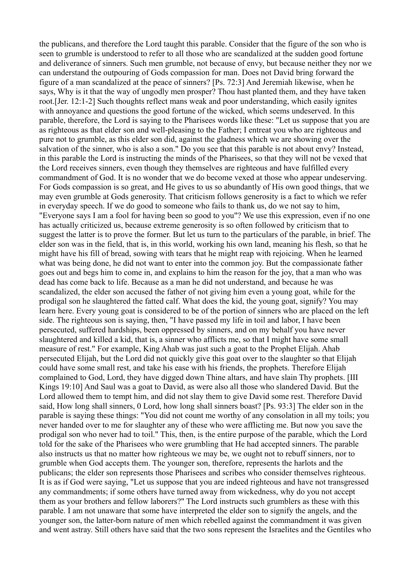the publicans, and therefore the Lord taught this parable. Consider that the figure of the son who is seen to grumble is understood to refer to all those who are scandalized at the sudden good fortune and deliverance of sinners. Such men grumble, not because of envy, but because neither they nor we can understand the outpouring of Gods compassion for man. Does not David bring forward the figure of a man scandalized at the peace of sinners? [Ps. 72:3] And Jeremiah likewise, when he says, Why is it that the way of ungodly men prosper? Thou hast planted them, and they have taken root.[Jer. 12:1-2] Such thoughts reflect mans weak and poor understanding, which easily ignites with annoyance and questions the good fortune of the wicked, which seems undeserved. In this parable, therefore, the Lord is saying to the Pharisees words like these: "Let us suppose that you are as righteous as that elder son and well-pleasing to the Father; I entreat you who are righteous and pure not to grumble, as this elder son did, against the gladness which we are showing over the salvation of the sinner, who is also a son." Do you see that this parable is not about envy? Instead, in this parable the Lord is instructing the minds of the Pharisees, so that they will not be vexed that the Lord receives sinners, even though they themselves are righteous and have fulfilled every commandment of God. It is no wonder that we do become vexed at those who appear undeserving. For Gods compassion is so great, and He gives to us so abundantly of His own good things, that we may even grumble at Gods generosity. That criticism follows generosity is a fact to which we refer in everyday speech. If we do good to someone who fails to thank us, do we not say to him, "Everyone says I am a fool for having been so good to you"? We use this expression, even if no one has actually criticized us, because extreme generosity is so often followed by criticism that to suggest the latter is to prove the former. But let us turn to the particulars of the parable, in brief. The elder son was in the field, that is, in this world, working his own land, meaning his flesh, so that he might have his fill of bread, sowing with tears that he might reap with rejoicing. When he learned what was being done, he did not want to enter into the common joy. But the compassionate father goes out and begs him to come in, and explains to him the reason for the joy, that a man who was dead has come back to life. Because as a man he did not understand, and because he was scandalized, the elder son accused the father of not giving him even a young goat, while for the prodigal son he slaughtered the fatted calf. What does the kid, the young goat, signify? You may learn here. Every young goat is considered to be of the portion of sinners who are placed on the left side. The righteous son is saying, then, "I have passed my life in toil and labor, I have been persecuted, suffered hardships, been oppressed by sinners, and on my behalf you have never slaughtered and killed a kid, that is, a sinner who afflicts me, so that I might have some small measure of rest." For example, King Ahab was just such a goat to the Prophet Elijah. Ahab persecuted Elijah, but the Lord did not quickly give this goat over to the slaughter so that Elijah could have some small rest, and take his ease with his friends, the prophets. Therefore Elijah complained to God, Lord, they have digged down Thine altars, and have slain Thy prophets. [III Kings 19:10] And Saul was a goat to David, as were also all those who slandered David. But the Lord allowed them to tempt him, and did not slay them to give David some rest. Therefore David said, How long shall sinners, 0 Lord, how long shall sinners boast? [Ps. 93:3] The elder son in the parable is saying these things: "You did not count me worthy of any consolation in all my toils; you never handed over to me for slaughter any of these who were afflicting me. But now you save the prodigal son who never had to toil." This, then, is the entire purpose of the parable, which the Lord told for the sake of the Pharisees who were grumbling that He had accepted sinners. The parable also instructs us that no matter how righteous we may be, we ought not to rebuff sinners, nor to grumble when God accepts them. The younger son, therefore, represents the harlots and the publicans; the elder son represents those Pharisees and scribes who consider themselves righteous. It is as if God were saying, "Let us suppose that you are indeed righteous and have not transgressed any commandments; if some others have turned away from wickedness, why do you not accept them as your brothers and fellow laborers?" The Lord instructs such grumblers as these with this parable. I am not unaware that some have interpreted the elder son to signify the angels, and the younger son, the latter-born nature of men which rebelled against the commandment it was given and went astray. Still others have said that the two sons represent the Israelites and the Gentiles who